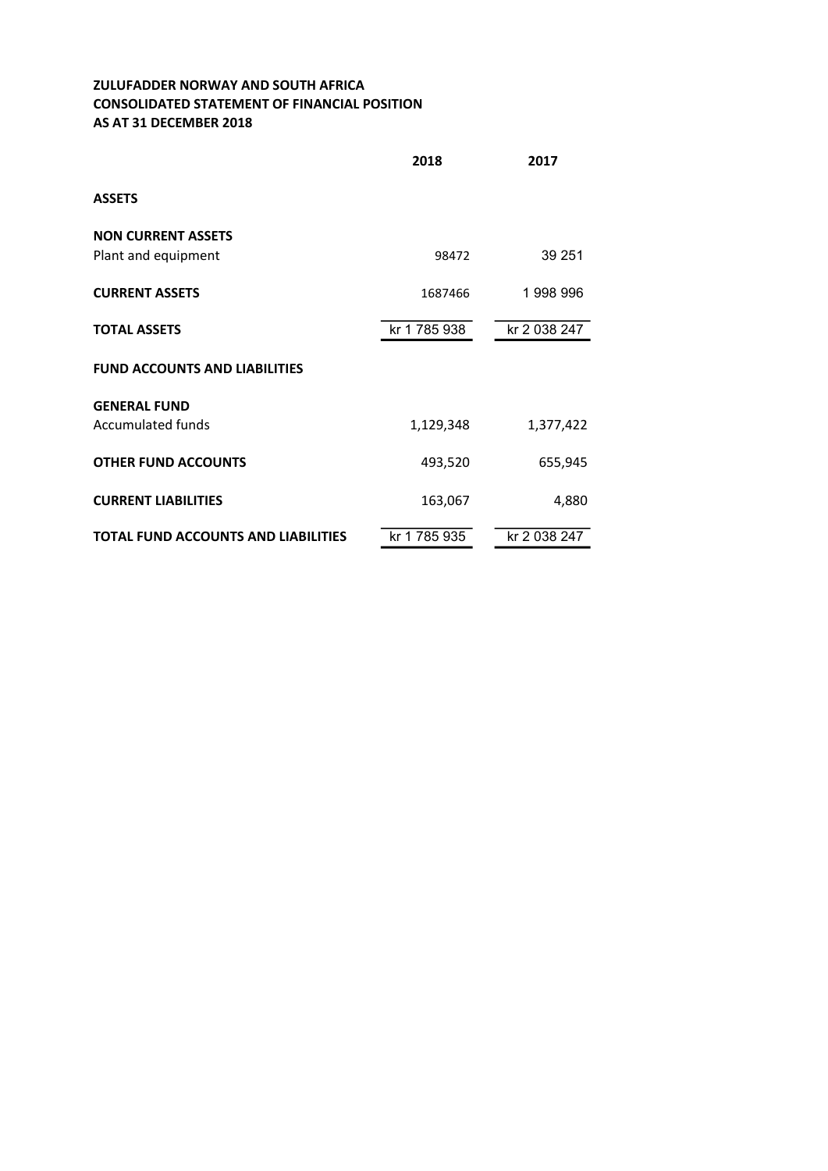## ZULUFADDER NORWAY AND SOUTH AFRICA CONSOLIDATED STATEMENT OF FINANCIAL POSITION AS AT 31 DECEMBER 2018

|                                                  | 2018         | 2017         |
|--------------------------------------------------|--------------|--------------|
| <b>ASSETS</b>                                    |              |              |
| <b>NON CURRENT ASSETS</b><br>Plant and equipment | 98472        | 39 251       |
| <b>CURRENT ASSETS</b>                            | 1687466      | 1998996      |
| <b>TOTAL ASSETS</b>                              | kr 1 785 938 | kr 2 038 247 |
| <b>FUND ACCOUNTS AND LIABILITIES</b>             |              |              |
| <b>GENERAL FUND</b><br><b>Accumulated funds</b>  | 1,129,348    | 1,377,422    |
| <b>OTHER FUND ACCOUNTS</b>                       | 493,520      | 655,945      |
| <b>CURRENT LIABILITIES</b>                       | 163,067      | 4,880        |
| <b>TOTAL FUND ACCOUNTS AND LIABILITIES</b>       | kr 1 785 935 | kr 2 038 247 |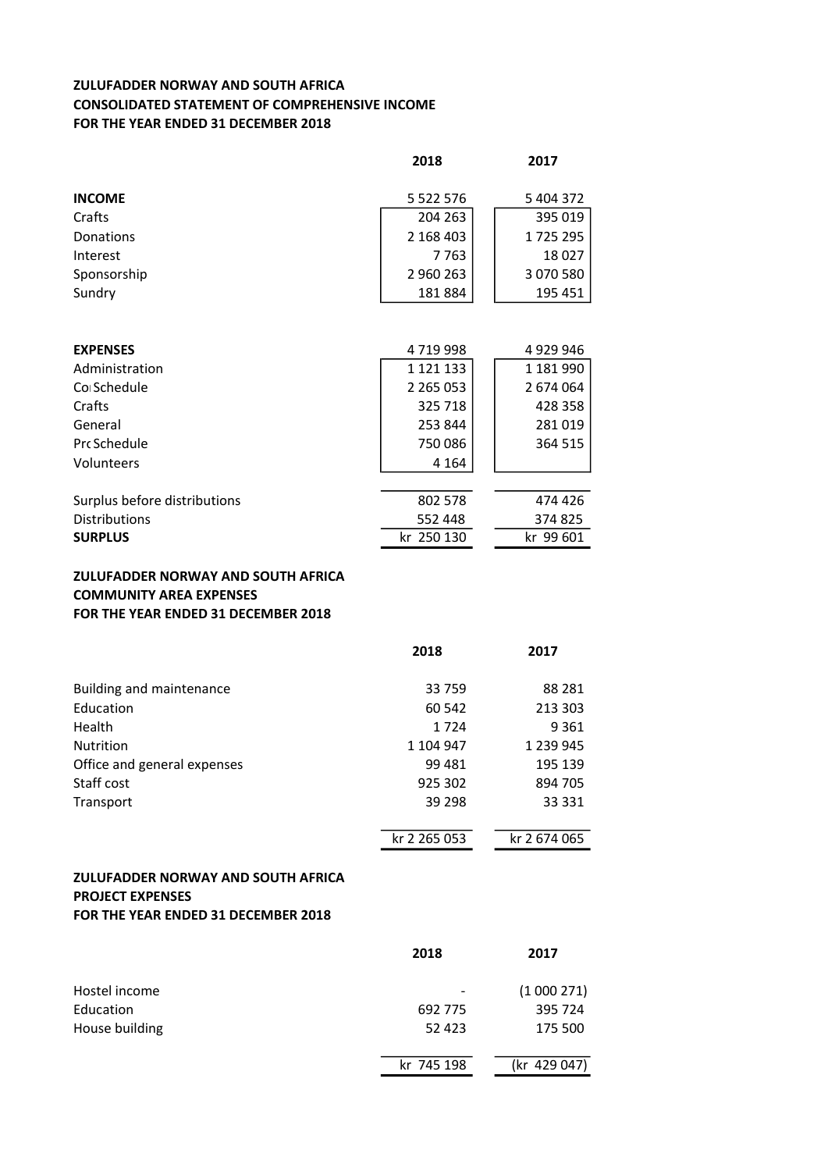## ZULUFADDER NORWAY AND SOUTH AFRICA CONSOLIDATED STATEMENT OF COMPREHENSIVE INCOME FOR THE YEAR ENDED 31 DECEMBER 2018

|                 | 2018          | 2017      |
|-----------------|---------------|-----------|
|                 |               |           |
| <b>INCOME</b>   | 5 5 2 2 5 7 6 | 5 404 372 |
| Crafts          | 204 263       | 395 019   |
| Donations       | 2 168 403     | 1725295   |
| Interest        | 7763          | 18027     |
| Sponsorship     | 2960263       | 3 070 580 |
| Sundry          | 181884        | 195 451   |
|                 |               |           |
|                 |               |           |
| <b>EXPENSES</b> | 4719998       | 4929946   |
| Administration  | 1 1 2 1 1 3 3 | 1 181 990 |
| Co Schedule     | 2 2 6 5 0 5 3 | 2 674 064 |
| Crafts          | 325 718       | 428 358   |
| General         | 253 844       | 281019    |
| Prc Schedule    | 750 086       | 364 515   |
| Volunteers      | 4 1 6 4       |           |
|                 |               |           |

| Surplus before distributions | 802 578    | 474 426   |
|------------------------------|------------|-----------|
| <b>Distributions</b>         | 552 448    | 374825    |
| <b>SURPLUS</b>               | kr 250 130 | kr 99 601 |

## ZULUFADDER NORWAY AND SOUTH AFRICA COMMUNITY AREA EXPENSES FOR THE YEAR ENDED 31 DECEMBER 2018

|                             | 2018         | 2017         |
|-----------------------------|--------------|--------------|
| Building and maintenance    | 33 759       | 88 281       |
| Education                   | 60 542       | 213 303      |
| Health                      | 1724         | 9 3 6 1      |
| <b>Nutrition</b>            | 1 104 947    | 1 239 945    |
| Office and general expenses | 99 481       | 195 139      |
| Staff cost                  | 925 302      | 894 705      |
| Transport                   | 39 298       | 33 331       |
|                             |              |              |
|                             | kr 2 265 053 | kr 2 674 065 |

## ZULUFADDER NORWAY AND SOUTH AFRICA PROJECT EXPENSES FOR THE YEAR ENDED 31 DECEMBER 2018

|                | 2018                         | 2017         |
|----------------|------------------------------|--------------|
| Hostel income  | $\qquad \qquad \blacksquare$ | (1000271)    |
| Education      | 692 775                      | 395 724      |
| House building | 52 423                       | 175 500      |
|                | kr 745 198                   | (kr 429 047) |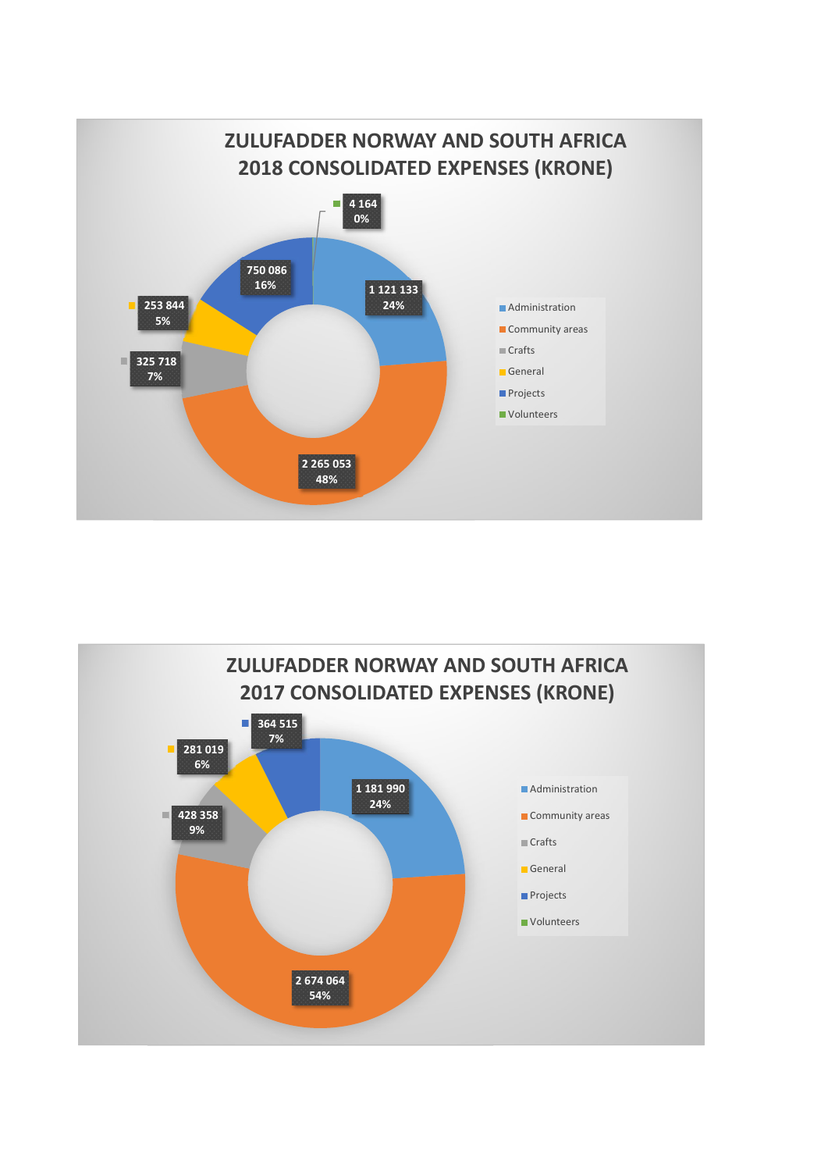